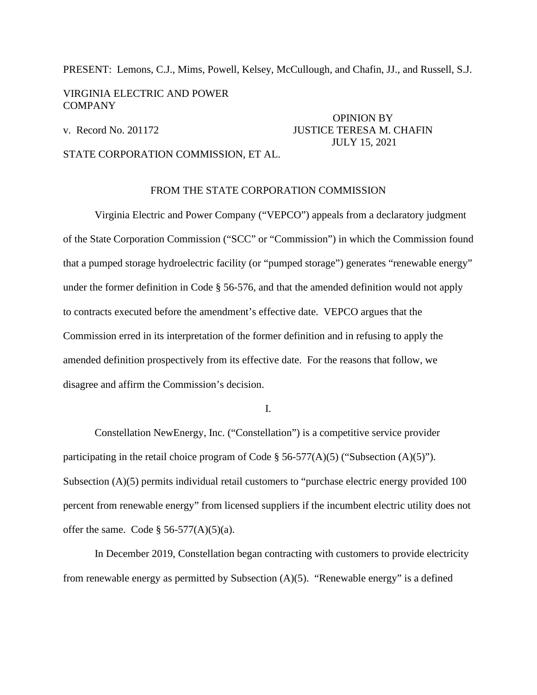PRESENT: Lemons, C.J., Mims, Powell, Kelsey, McCullough, and Chafin, JJ., and Russell, S.J.

## VIRGINIA ELECTRIC AND POWER COMPANY

# OPINION BY v. Record No. 201172 JUSTICE TERESA M. CHAFIN JULY 15, 2021

## STATE CORPORATION COMMISSION, ET AL.

### FROM THE STATE CORPORATION COMMISSION

Virginia Electric and Power Company ("VEPCO") appeals from a declaratory judgment of the State Corporation Commission ("SCC" or "Commission") in which the Commission found that a pumped storage hydroelectric facility (or "pumped storage") generates "renewable energy" under the former definition in Code § 56-576, and that the amended definition would not apply to contracts executed before the amendment's effective date. VEPCO argues that the Commission erred in its interpretation of the former definition and in refusing to apply the amended definition prospectively from its effective date. For the reasons that follow, we disagree and affirm the Commission's decision.

I.

Constellation NewEnergy, Inc. ("Constellation") is a competitive service provider participating in the retail choice program of Code § 56-577(A)(5) ("Subsection (A)(5)"). Subsection (A)(5) permits individual retail customers to "purchase electric energy provided 100 percent from renewable energy" from licensed suppliers if the incumbent electric utility does not offer the same. Code  $\S$  56-577(A)(5)(a).

In December 2019, Constellation began contracting with customers to provide electricity from renewable energy as permitted by Subsection (A)(5). "Renewable energy" is a defined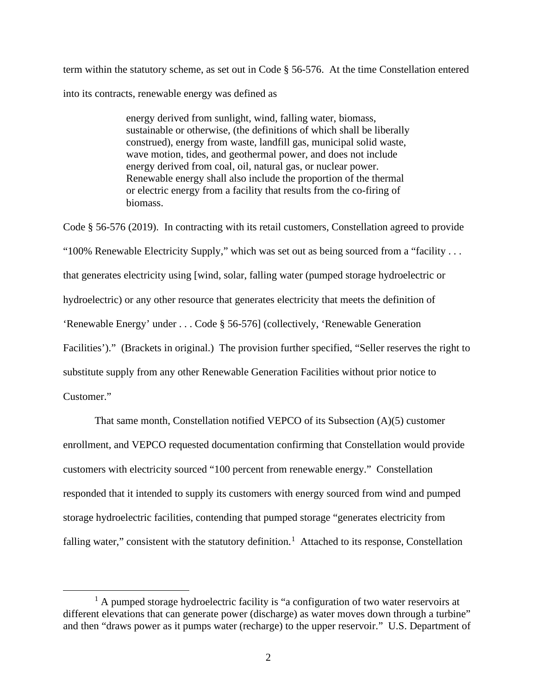term within the statutory scheme, as set out in Code § 56-576. At the time Constellation entered into its contracts, renewable energy was defined as

> energy derived from sunlight, wind, falling water, biomass, sustainable or otherwise, (the definitions of which shall be liberally construed), energy from waste, landfill gas, municipal solid waste, wave motion, tides, and geothermal power, and does not include energy derived from coal, oil, natural gas, or nuclear power. Renewable energy shall also include the proportion of the thermal or electric energy from a facility that results from the co-firing of biomass.

Code § 56-576 (2019). In contracting with its retail customers, Constellation agreed to provide "100% Renewable Electricity Supply," which was set out as being sourced from a "facility . . . that generates electricity using [wind, solar, falling water (pumped storage hydroelectric or hydroelectric) or any other resource that generates electricity that meets the definition of 'Renewable Energy' under . . . Code § 56-576] (collectively, 'Renewable Generation Facilities')." (Brackets in original.) The provision further specified, "Seller reserves the right to substitute supply from any other Renewable Generation Facilities without prior notice to Customer."

That same month, Constellation notified VEPCO of its Subsection (A)(5) customer enrollment, and VEPCO requested documentation confirming that Constellation would provide customers with electricity sourced "100 percent from renewable energy." Constellation responded that it intended to supply its customers with energy sourced from wind and pumped storage hydroelectric facilities, contending that pumped storage "generates electricity from falling water," consistent with the statutory definition.<sup>[1](#page-1-0)</sup> Attached to its response, Constellation

<span id="page-1-0"></span><sup>&</sup>lt;sup>1</sup> A pumped storage hydroelectric facility is "a configuration of two water reservoirs at different elevations that can generate power (discharge) as water moves down through a turbine" and then "draws power as it pumps water (recharge) to the upper reservoir." U.S. Department of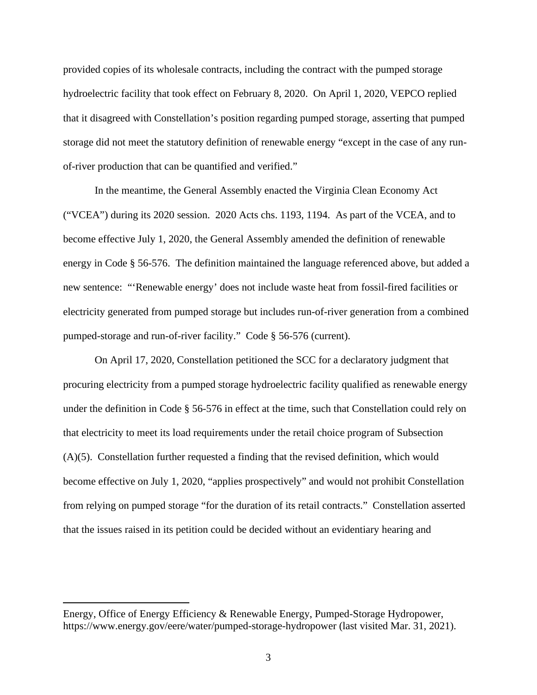provided copies of its wholesale contracts, including the contract with the pumped storage hydroelectric facility that took effect on February 8, 2020. On April 1, 2020, VEPCO replied that it disagreed with Constellation's position regarding pumped storage, asserting that pumped storage did not meet the statutory definition of renewable energy "except in the case of any runof-river production that can be quantified and verified."

In the meantime, the General Assembly enacted the Virginia Clean Economy Act ("VCEA") during its 2020 session. 2020 Acts chs. 1193, 1194. As part of the VCEA, and to become effective July 1, 2020, the General Assembly amended the definition of renewable energy in Code § 56-576. The definition maintained the language referenced above, but added a new sentence: "'Renewable energy' does not include waste heat from fossil-fired facilities or electricity generated from pumped storage but includes run-of-river generation from a combined pumped-storage and run-of-river facility." Code § 56-576 (current).

On April 17, 2020, Constellation petitioned the SCC for a declaratory judgment that procuring electricity from a pumped storage hydroelectric facility qualified as renewable energy under the definition in Code § 56-576 in effect at the time, such that Constellation could rely on that electricity to meet its load requirements under the retail choice program of Subsection (A)(5). Constellation further requested a finding that the revised definition, which would become effective on July 1, 2020, "applies prospectively" and would not prohibit Constellation from relying on pumped storage "for the duration of its retail contracts." Constellation asserted that the issues raised in its petition could be decided without an evidentiary hearing and

Energy, Office of Energy Efficiency & Renewable Energy, Pumped-Storage Hydropower, https://www.energy.gov/eere/water/pumped-storage-hydropower (last visited Mar. 31, 2021).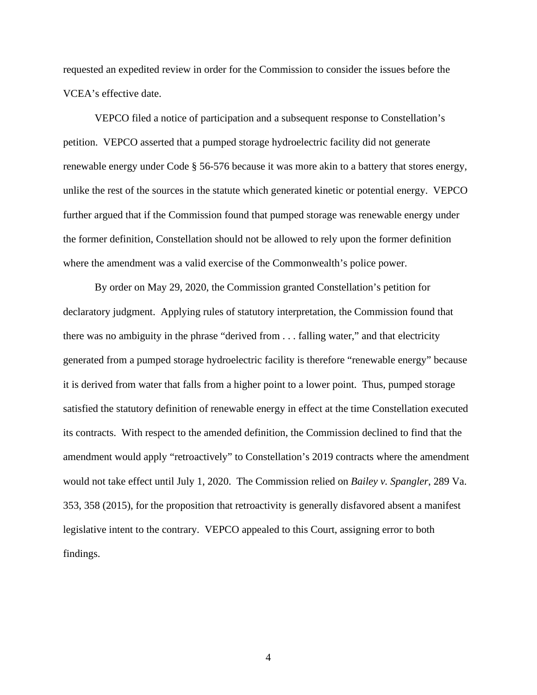requested an expedited review in order for the Commission to consider the issues before the VCEA's effective date.

VEPCO filed a notice of participation and a subsequent response to Constellation's petition. VEPCO asserted that a pumped storage hydroelectric facility did not generate renewable energy under Code § 56-576 because it was more akin to a battery that stores energy, unlike the rest of the sources in the statute which generated kinetic or potential energy. VEPCO further argued that if the Commission found that pumped storage was renewable energy under the former definition, Constellation should not be allowed to rely upon the former definition where the amendment was a valid exercise of the Commonwealth's police power.

By order on May 29, 2020, the Commission granted Constellation's petition for declaratory judgment. Applying rules of statutory interpretation, the Commission found that there was no ambiguity in the phrase "derived from . . . falling water," and that electricity generated from a pumped storage hydroelectric facility is therefore "renewable energy" because it is derived from water that falls from a higher point to a lower point. Thus, pumped storage satisfied the statutory definition of renewable energy in effect at the time Constellation executed its contracts. With respect to the amended definition, the Commission declined to find that the amendment would apply "retroactively" to Constellation's 2019 contracts where the amendment would not take effect until July 1, 2020. The Commission relied on *Bailey v. Spangler*, 289 Va. 353, 358 (2015), for the proposition that retroactivity is generally disfavored absent a manifest legislative intent to the contrary. VEPCO appealed to this Court, assigning error to both findings.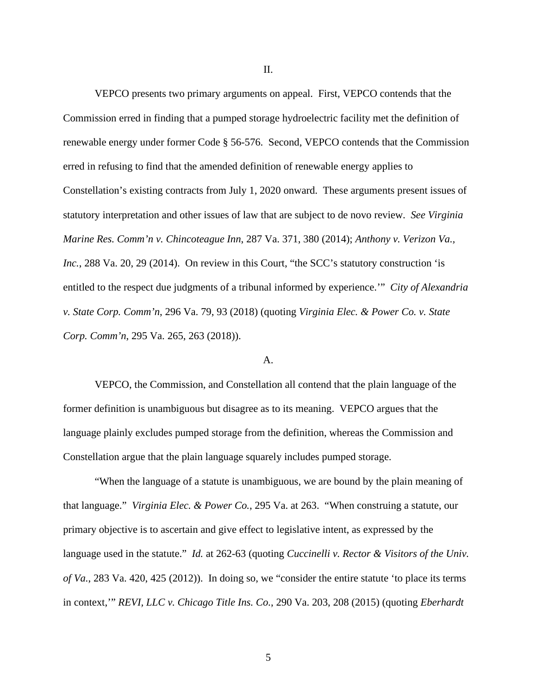VEPCO presents two primary arguments on appeal. First, VEPCO contends that the Commission erred in finding that a pumped storage hydroelectric facility met the definition of renewable energy under former Code § 56-576. Second, VEPCO contends that the Commission erred in refusing to find that the amended definition of renewable energy applies to Constellation's existing contracts from July 1, 2020 onward. These arguments present issues of statutory interpretation and other issues of law that are subject to de novo review. *See Virginia Marine Res. Comm'n v. Chincoteague Inn*, 287 Va. 371, 380 (2014); *Anthony v. Verizon Va., Inc.*, 288 Va. 20, 29 (2014). On review in this Court, "the SCC's statutory construction 'is entitled to the respect due judgments of a tribunal informed by experience.'" *City of Alexandria v. State Corp. Comm'n*, 296 Va. 79, 93 (2018) (quoting *Virginia Elec. & Power Co. v. State Corp. Comm'n*, 295 Va. 265, 263 (2018)).

### A.

VEPCO, the Commission, and Constellation all contend that the plain language of the former definition is unambiguous but disagree as to its meaning. VEPCO argues that the language plainly excludes pumped storage from the definition, whereas the Commission and Constellation argue that the plain language squarely includes pumped storage.

"When the language of a statute is unambiguous, we are bound by the plain meaning of that language." *Virginia Elec. & Power Co.*, 295 Va. at 263. "When construing a statute, our primary objective is to ascertain and give effect to legislative intent, as expressed by the language used in the statute." *Id.* at 262-63 (quoting *Cuccinelli v. Rector & Visitors of the Univ. of Va.*, 283 Va. 420, 425 (2012)). In doing so, we "consider the entire statute 'to place its terms in context,'" *REVI, LLC v. Chicago Title Ins. Co.*, 290 Va. 203, 208 (2015) (quoting *Eberhardt* 

II.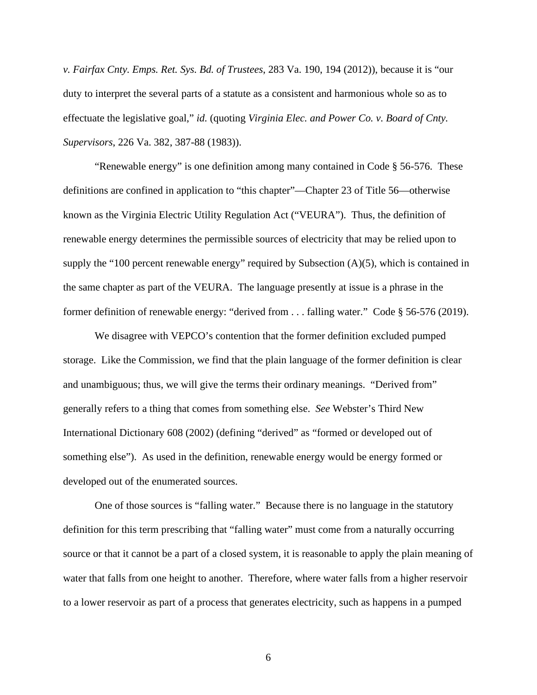*v. Fairfax Cnty. Emps. Ret. Sys. Bd. of Trustees*, 283 Va. 190, 194 (2012)), because it is "our duty to interpret the several parts of a statute as a consistent and harmonious whole so as to effectuate the legislative goal," *id.* (quoting *Virginia Elec. and Power Co. v. Board of Cnty. Supervisors*, 226 Va. 382, 387-88 (1983)).

"Renewable energy" is one definition among many contained in Code § 56-576. These definitions are confined in application to "this chapter"—Chapter 23 of Title 56—otherwise known as the Virginia Electric Utility Regulation Act ("VEURA"). Thus, the definition of renewable energy determines the permissible sources of electricity that may be relied upon to supply the "100 percent renewable energy" required by Subsection  $(A)(5)$ , which is contained in the same chapter as part of the VEURA. The language presently at issue is a phrase in the former definition of renewable energy: "derived from . . . falling water." Code § 56-576 (2019).

We disagree with VEPCO's contention that the former definition excluded pumped storage. Like the Commission, we find that the plain language of the former definition is clear and unambiguous; thus, we will give the terms their ordinary meanings. "Derived from" generally refers to a thing that comes from something else. *See* Webster's Third New International Dictionary 608 (2002) (defining "derived" as "formed or developed out of something else"). As used in the definition, renewable energy would be energy formed or developed out of the enumerated sources.

One of those sources is "falling water." Because there is no language in the statutory definition for this term prescribing that "falling water" must come from a naturally occurring source or that it cannot be a part of a closed system, it is reasonable to apply the plain meaning of water that falls from one height to another. Therefore, where water falls from a higher reservoir to a lower reservoir as part of a process that generates electricity, such as happens in a pumped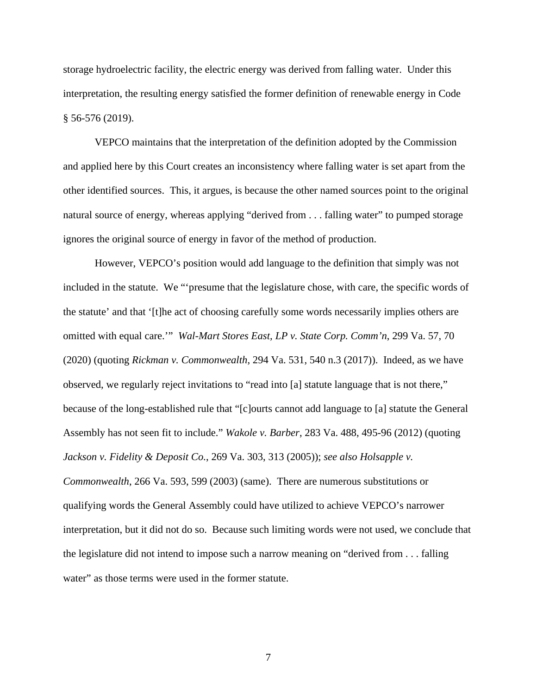storage hydroelectric facility, the electric energy was derived from falling water. Under this interpretation, the resulting energy satisfied the former definition of renewable energy in Code § 56-576 (2019).

VEPCO maintains that the interpretation of the definition adopted by the Commission and applied here by this Court creates an inconsistency where falling water is set apart from the other identified sources. This, it argues, is because the other named sources point to the original natural source of energy, whereas applying "derived from . . . falling water" to pumped storage ignores the original source of energy in favor of the method of production.

However, VEPCO's position would add language to the definition that simply was not included in the statute. We "'presume that the legislature chose, with care, the specific words of the statute' and that '[t]he act of choosing carefully some words necessarily implies others are omitted with equal care.'" *Wal-Mart Stores East, LP v. State Corp. Comm'n*, 299 Va. 57, 70 (2020) (quoting *Rickman v. Commonwealth*, 294 Va. 531, 540 n.3 (2017)). Indeed, as we have observed, we regularly reject invitations to "read into [a] statute language that is not there," because of the long-established rule that "[c]ourts cannot add language to [a] statute the General Assembly has not seen fit to include." *Wakole v. Barber*, 283 Va. 488, 495-96 (2012) (quoting *Jackson v. Fidelity & Deposit Co.*, 269 Va. 303, 313 (2005)); *see also Holsapple v. Commonwealth*, 266 Va. 593, 599 (2003) (same). There are numerous substitutions or qualifying words the General Assembly could have utilized to achieve VEPCO's narrower interpretation, but it did not do so. Because such limiting words were not used, we conclude that the legislature did not intend to impose such a narrow meaning on "derived from . . . falling water" as those terms were used in the former statute.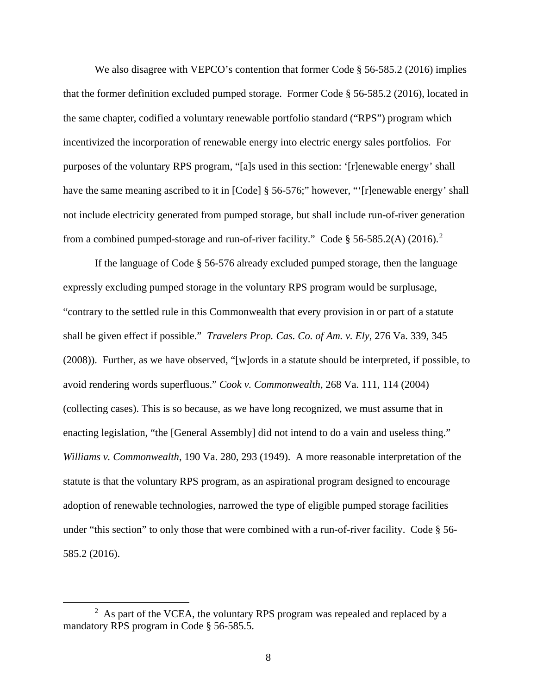We also disagree with VEPCO's contention that former Code § 56-585.2 (2016) implies that the former definition excluded pumped storage. Former Code § 56-585.2 (2016), located in the same chapter, codified a voluntary renewable portfolio standard ("RPS") program which incentivized the incorporation of renewable energy into electric energy sales portfolios. For purposes of the voluntary RPS program, "[a]s used in this section: '[r]enewable energy' shall have the same meaning ascribed to it in [Code] § 56-576;" however, "'[r]enewable energy' shall not include electricity generated from pumped storage, but shall include run-of-river generation from a combined pumped-storage and run-of-river facility." Code § 56-585.[2](#page-7-0)(A) (2016).<sup>2</sup>

If the language of Code § 56-576 already excluded pumped storage, then the language expressly excluding pumped storage in the voluntary RPS program would be surplusage, "contrary to the settled rule in this Commonwealth that every provision in or part of a statute shall be given effect if possible." *Travelers Prop. Cas. Co. of Am. v. Ely*, 276 Va. 339, 345 (2008)). Further, as we have observed, "[w]ords in a statute should be interpreted, if possible, to avoid rendering words superfluous." *Cook v. Commonwealth*, 268 Va. 111, 114 (2004) (collecting cases). This is so because, as we have long recognized, we must assume that in enacting legislation, "the [General Assembly] did not intend to do a vain and useless thing." *Williams v. Commonwealth*, 190 Va. 280, 293 (1949). A more reasonable interpretation of the statute is that the voluntary RPS program, as an aspirational program designed to encourage adoption of renewable technologies, narrowed the type of eligible pumped storage facilities under "this section" to only those that were combined with a run-of-river facility. Code § 56- 585.2 (2016).

<span id="page-7-0"></span> $2$  As part of the VCEA, the voluntary RPS program was repealed and replaced by a mandatory RPS program in Code § 56-585.5.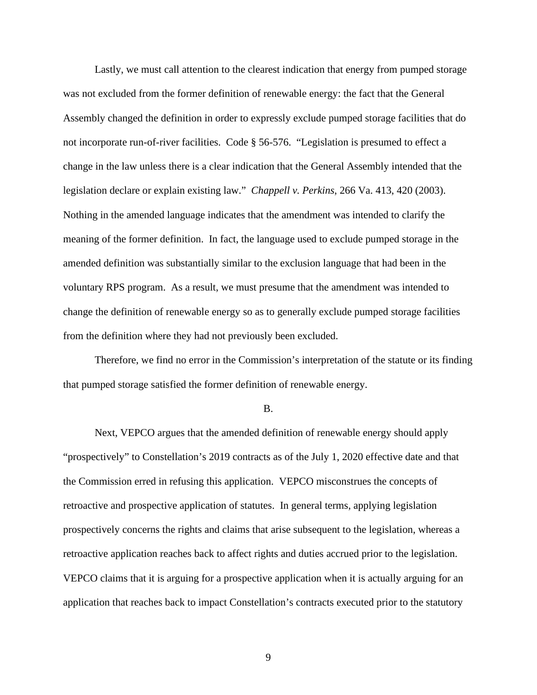Lastly, we must call attention to the clearest indication that energy from pumped storage was not excluded from the former definition of renewable energy: the fact that the General Assembly changed the definition in order to expressly exclude pumped storage facilities that do not incorporate run-of-river facilities. Code § 56-576. "Legislation is presumed to effect a change in the law unless there is a clear indication that the General Assembly intended that the legislation declare or explain existing law." *Chappell v. Perkins*, 266 Va. 413, 420 (2003). Nothing in the amended language indicates that the amendment was intended to clarify the meaning of the former definition. In fact, the language used to exclude pumped storage in the amended definition was substantially similar to the exclusion language that had been in the voluntary RPS program. As a result, we must presume that the amendment was intended to change the definition of renewable energy so as to generally exclude pumped storage facilities from the definition where they had not previously been excluded.

Therefore, we find no error in the Commission's interpretation of the statute or its finding that pumped storage satisfied the former definition of renewable energy.

B.

Next, VEPCO argues that the amended definition of renewable energy should apply "prospectively" to Constellation's 2019 contracts as of the July 1, 2020 effective date and that the Commission erred in refusing this application. VEPCO misconstrues the concepts of retroactive and prospective application of statutes. In general terms, applying legislation prospectively concerns the rights and claims that arise subsequent to the legislation, whereas a retroactive application reaches back to affect rights and duties accrued prior to the legislation. VEPCO claims that it is arguing for a prospective application when it is actually arguing for an application that reaches back to impact Constellation's contracts executed prior to the statutory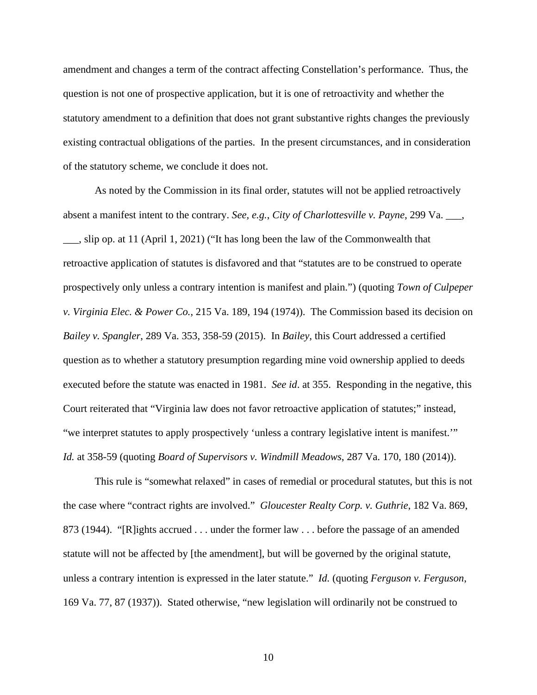amendment and changes a term of the contract affecting Constellation's performance. Thus, the question is not one of prospective application, but it is one of retroactivity and whether the statutory amendment to a definition that does not grant substantive rights changes the previously existing contractual obligations of the parties. In the present circumstances, and in consideration of the statutory scheme, we conclude it does not.

As noted by the Commission in its final order, statutes will not be applied retroactively absent a manifest intent to the contrary. *See, e.g.*, *City of Charlottesville v. Payne*, 299 Va. \_\_\_, \_\_\_, slip op. at 11 (April 1, 2021) ("It has long been the law of the Commonwealth that retroactive application of statutes is disfavored and that "statutes are to be construed to operate prospectively only unless a contrary intention is manifest and plain.") (quoting *Town of Culpeper v. Virginia Elec. & Power Co.*, 215 Va. 189, 194 (1974)). The Commission based its decision on *Bailey v. Spangler*, 289 Va. 353, 358-59 (2015). In *Bailey*, this Court addressed a certified question as to whether a statutory presumption regarding mine void ownership applied to deeds executed before the statute was enacted in 1981. *See id*. at 355. Responding in the negative, this Court reiterated that "Virginia law does not favor retroactive application of statutes;" instead, "we interpret statutes to apply prospectively 'unless a contrary legislative intent is manifest.'" *Id.* at 358-59 (quoting *Board of Supervisors v. Windmill Meadows*, 287 Va. 170, 180 (2014)).

This rule is "somewhat relaxed" in cases of remedial or procedural statutes, but this is not the case where "contract rights are involved." *Gloucester Realty Corp. v. Guthrie*, 182 Va. 869, 873 (1944). "[R]ights accrued . . . under the former law . . . before the passage of an amended statute will not be affected by [the amendment], but will be governed by the original statute, unless a contrary intention is expressed in the later statute." *Id.* (quoting *Ferguson v. Ferguson*, 169 Va. 77, 87 (1937)). Stated otherwise, "new legislation will ordinarily not be construed to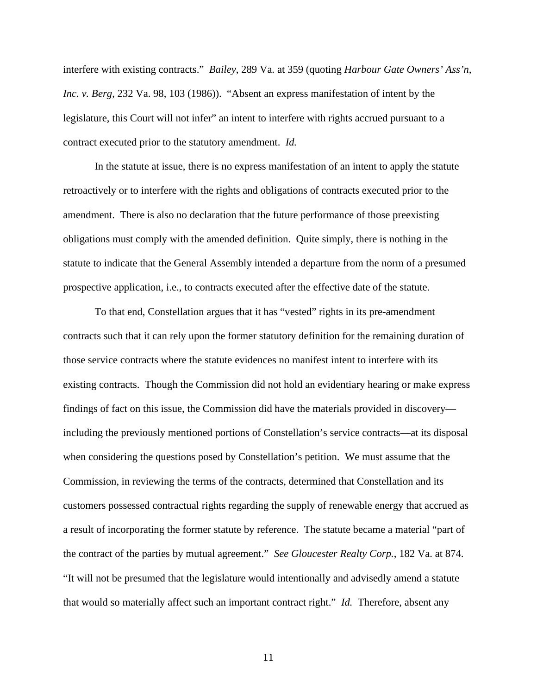interfere with existing contracts." *Bailey*, 289 Va. at 359 (quoting *Harbour Gate Owners' Ass'n, Inc. v. Berg*, 232 Va. 98, 103 (1986)). "Absent an express manifestation of intent by the legislature, this Court will not infer" an intent to interfere with rights accrued pursuant to a contract executed prior to the statutory amendment. *Id.*

In the statute at issue, there is no express manifestation of an intent to apply the statute retroactively or to interfere with the rights and obligations of contracts executed prior to the amendment. There is also no declaration that the future performance of those preexisting obligations must comply with the amended definition. Quite simply, there is nothing in the statute to indicate that the General Assembly intended a departure from the norm of a presumed prospective application, i.e., to contracts executed after the effective date of the statute.

To that end, Constellation argues that it has "vested" rights in its pre-amendment contracts such that it can rely upon the former statutory definition for the remaining duration of those service contracts where the statute evidences no manifest intent to interfere with its existing contracts. Though the Commission did not hold an evidentiary hearing or make express findings of fact on this issue, the Commission did have the materials provided in discovery including the previously mentioned portions of Constellation's service contracts—at its disposal when considering the questions posed by Constellation's petition. We must assume that the Commission, in reviewing the terms of the contracts, determined that Constellation and its customers possessed contractual rights regarding the supply of renewable energy that accrued as a result of incorporating the former statute by reference. The statute became a material "part of the contract of the parties by mutual agreement." *See Gloucester Realty Corp.*, 182 Va. at 874. "It will not be presumed that the legislature would intentionally and advisedly amend a statute that would so materially affect such an important contract right." *Id.* Therefore, absent any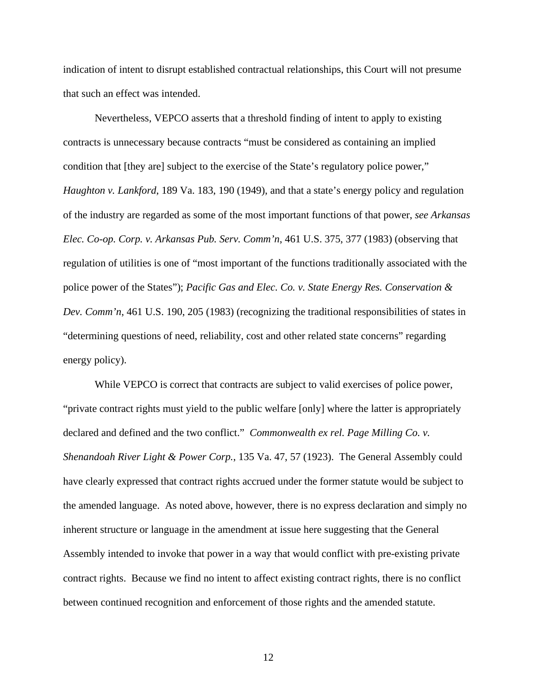indication of intent to disrupt established contractual relationships, this Court will not presume that such an effect was intended.

Nevertheless, VEPCO asserts that a threshold finding of intent to apply to existing contracts is unnecessary because contracts "must be considered as containing an implied condition that [they are] subject to the exercise of the State's regulatory police power," *Haughton v. Lankford*, 189 Va. 183, 190 (1949), and that a state's energy policy and regulation of the industry are regarded as some of the most important functions of that power, *see Arkansas Elec. Co-op. Corp. v. Arkansas Pub. Serv. Comm'n*, 461 U.S. 375, 377 (1983) (observing that regulation of utilities is one of "most important of the functions traditionally associated with the police power of the States"); *Pacific Gas and Elec. Co. v. State Energy Res. Conservation & Dev. Comm'n*, 461 U.S. 190, 205 (1983) (recognizing the traditional responsibilities of states in "determining questions of need, reliability, cost and other related state concerns" regarding energy policy).

While VEPCO is correct that contracts are subject to valid exercises of police power, "private contract rights must yield to the public welfare [only] where the latter is appropriately declared and defined and the two conflict." *Commonwealth ex rel. Page Milling Co. v. Shenandoah River Light & Power Corp.*, 135 Va. 47, 57 (1923). The General Assembly could have clearly expressed that contract rights accrued under the former statute would be subject to the amended language. As noted above, however, there is no express declaration and simply no inherent structure or language in the amendment at issue here suggesting that the General Assembly intended to invoke that power in a way that would conflict with pre-existing private contract rights. Because we find no intent to affect existing contract rights, there is no conflict between continued recognition and enforcement of those rights and the amended statute.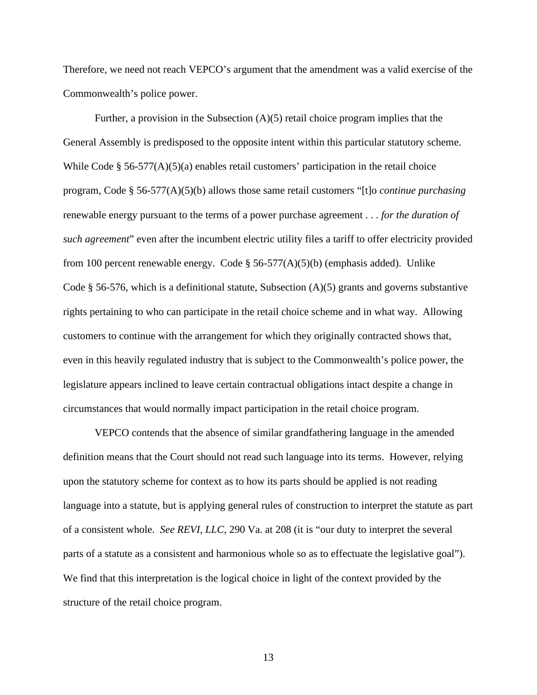Therefore, we need not reach VEPCO's argument that the amendment was a valid exercise of the Commonwealth's police power.

Further, a provision in the Subsection (A)(5) retail choice program implies that the General Assembly is predisposed to the opposite intent within this particular statutory scheme. While Code § 56-577(A)(5)(a) enables retail customers' participation in the retail choice program, Code § 56-577(A)(5)(b) allows those same retail customers "[t]o *continue purchasing* renewable energy pursuant to the terms of a power purchase agreement . . . *for the duration of such agreement*" even after the incumbent electric utility files a tariff to offer electricity provided from 100 percent renewable energy. Code  $\S$  56-577(A)(5)(b) (emphasis added). Unlike Code § 56-576, which is a definitional statute, Subsection (A)(5) grants and governs substantive rights pertaining to who can participate in the retail choice scheme and in what way. Allowing customers to continue with the arrangement for which they originally contracted shows that, even in this heavily regulated industry that is subject to the Commonwealth's police power, the legislature appears inclined to leave certain contractual obligations intact despite a change in circumstances that would normally impact participation in the retail choice program.

VEPCO contends that the absence of similar grandfathering language in the amended definition means that the Court should not read such language into its terms. However, relying upon the statutory scheme for context as to how its parts should be applied is not reading language into a statute, but is applying general rules of construction to interpret the statute as part of a consistent whole. *See REVI, LLC*, 290 Va. at 208 (it is "our duty to interpret the several parts of a statute as a consistent and harmonious whole so as to effectuate the legislative goal"). We find that this interpretation is the logical choice in light of the context provided by the structure of the retail choice program.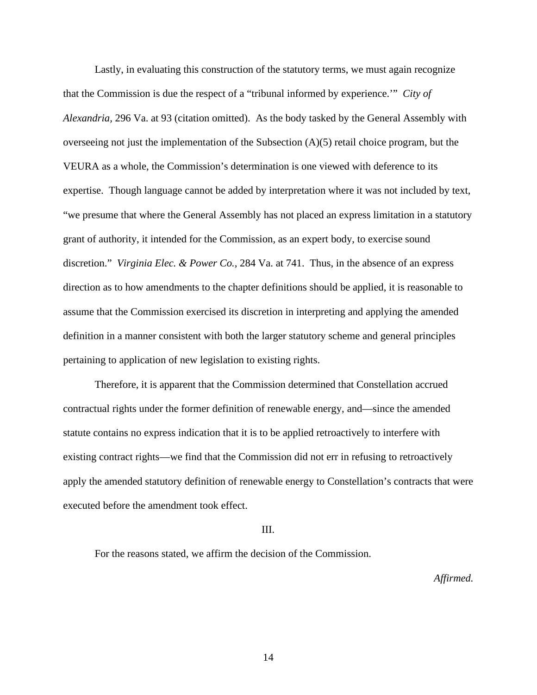Lastly, in evaluating this construction of the statutory terms, we must again recognize that the Commission is due the respect of a "tribunal informed by experience.'" *City of Alexandria,* 296 Va. at 93 (citation omitted). As the body tasked by the General Assembly with overseeing not just the implementation of the Subsection (A)(5) retail choice program, but the VEURA as a whole, the Commission's determination is one viewed with deference to its expertise. Though language cannot be added by interpretation where it was not included by text, "we presume that where the General Assembly has not placed an express limitation in a statutory grant of authority, it intended for the Commission, as an expert body, to exercise sound discretion." *Virginia Elec. & Power Co.*, 284 Va. at 741. Thus, in the absence of an express direction as to how amendments to the chapter definitions should be applied, it is reasonable to assume that the Commission exercised its discretion in interpreting and applying the amended definition in a manner consistent with both the larger statutory scheme and general principles pertaining to application of new legislation to existing rights.

Therefore, it is apparent that the Commission determined that Constellation accrued contractual rights under the former definition of renewable energy, and—since the amended statute contains no express indication that it is to be applied retroactively to interfere with existing contract rights—we find that the Commission did not err in refusing to retroactively apply the amended statutory definition of renewable energy to Constellation's contracts that were executed before the amendment took effect.

#### III.

For the reasons stated, we affirm the decision of the Commission.

*Affirmed.*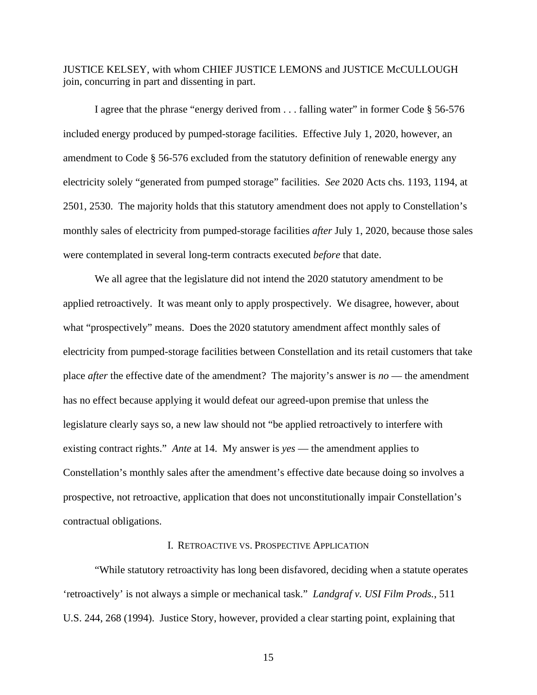JUSTICE KELSEY, with whom CHIEF JUSTICE LEMONS and JUSTICE McCULLOUGH join, concurring in part and dissenting in part.

I agree that the phrase "energy derived from . . . falling water" in former Code § 56-576 included energy produced by pumped-storage facilities. Effective July 1, 2020, however, an amendment to Code § 56-576 excluded from the statutory definition of renewable energy any electricity solely "generated from pumped storage" facilities. *See* 2020 Acts chs. 1193, 1194, at 2501, 2530. The majority holds that this statutory amendment does not apply to Constellation's monthly sales of electricity from pumped-storage facilities *after* July 1, 2020, because those sales were contemplated in several long-term contracts executed *before* that date.

We all agree that the legislature did not intend the 2020 statutory amendment to be applied retroactively. It was meant only to apply prospectively. We disagree, however, about what "prospectively" means. Does the 2020 statutory amendment affect monthly sales of electricity from pumped-storage facilities between Constellation and its retail customers that take place *after* the effective date of the amendment? The majority's answer is *no* — the amendment has no effect because applying it would defeat our agreed-upon premise that unless the legislature clearly says so, a new law should not "be applied retroactively to interfere with existing contract rights." *Ante* at 14. My answer is *yes* — the amendment applies to Constellation's monthly sales after the amendment's effective date because doing so involves a prospective, not retroactive, application that does not unconstitutionally impair Constellation's contractual obligations.

## I. RETROACTIVE VS. PROSPECTIVE APPLICATION

"While statutory retroactivity has long been disfavored, deciding when a statute operates 'retroactively' is not always a simple or mechanical task." *Landgraf v. USI Film Prods.*, 511 U.S. 244, 268 (1994). Justice Story, however, provided a clear starting point, explaining that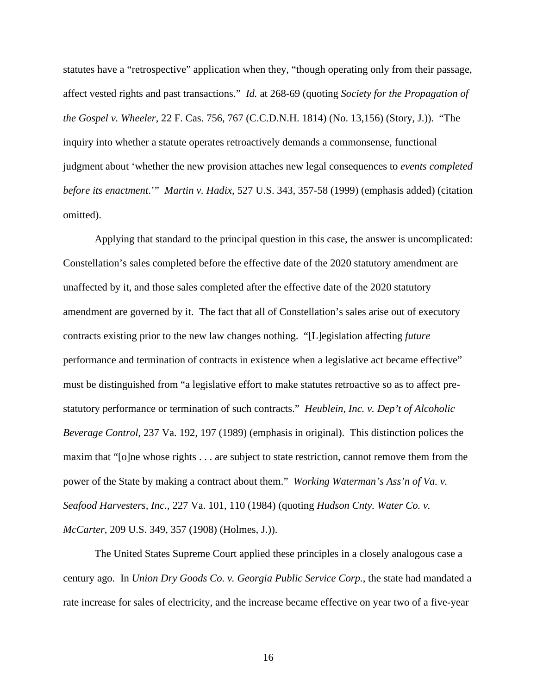statutes have a "retrospective" application when they, "though operating only from their passage, affect vested rights and past transactions." *Id.* at 268-69 (quoting *Society for the Propagation of the Gospel v. Wheeler*, 22 F. Cas. 756, 767 (C.C.D.N.H. 1814) (No. 13,156) (Story, J.)). "The inquiry into whether a statute operates retroactively demands a commonsense, functional judgment about 'whether the new provision attaches new legal consequences to *events completed before its enactment*.'" *Martin v. Hadix*, 527 U.S. 343, 357-58 (1999) (emphasis added) (citation omitted).

Applying that standard to the principal question in this case, the answer is uncomplicated: Constellation's sales completed before the effective date of the 2020 statutory amendment are unaffected by it, and those sales completed after the effective date of the 2020 statutory amendment are governed by it. The fact that all of Constellation's sales arise out of executory contracts existing prior to the new law changes nothing. "[L]egislation affecting *future* performance and termination of contracts in existence when a legislative act became effective" must be distinguished from "a legislative effort to make statutes retroactive so as to affect prestatutory performance or termination of such contracts." *Heublein, Inc. v. Dep't of Alcoholic Beverage Control*, 237 Va. 192, 197 (1989) (emphasis in original). This distinction polices the maxim that "[o]ne whose rights . . . are subject to state restriction, cannot remove them from the power of the State by making a contract about them." *Working Waterman's Ass'n of Va. v. Seafood Harvesters, Inc.*, 227 Va. 101, 110 (1984) (quoting *Hudson Cnty. Water Co. v. McCarter*, 209 U.S. 349, 357 (1908) (Holmes, J.)).

The United States Supreme Court applied these principles in a closely analogous case a century ago. In *Union Dry Goods Co. v. Georgia Public Service Corp.*, the state had mandated a rate increase for sales of electricity, and the increase became effective on year two of a five-year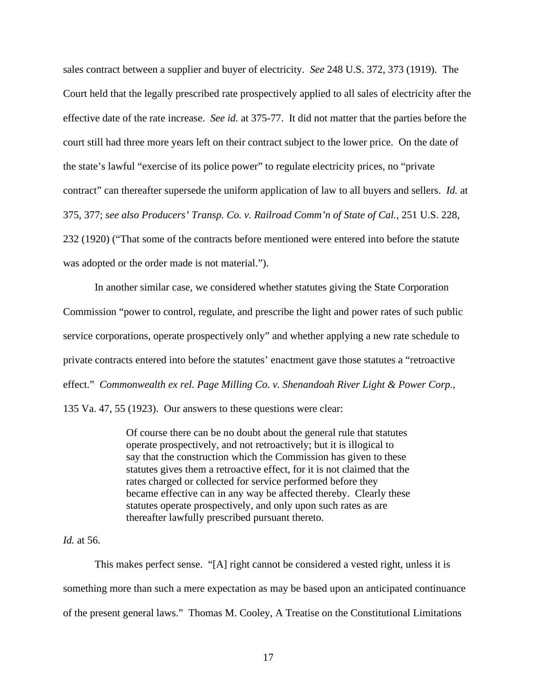sales contract between a supplier and buyer of electricity. *See* 248 U.S. 372, 373 (1919). The Court held that the legally prescribed rate prospectively applied to all sales of electricity after the effective date of the rate increase. *See id.* at 375-77. It did not matter that the parties before the court still had three more years left on their contract subject to the lower price. On the date of the state's lawful "exercise of its police power" to regulate electricity prices, no "private contract" can thereafter supersede the uniform application of law to all buyers and sellers. *Id.* at 375, 377; *see also Producers' Transp. Co. v. Railroad Comm'n of State of Cal.*, 251 U.S. 228, 232 (1920) ("That some of the contracts before mentioned were entered into before the statute was adopted or the order made is not material.").

In another similar case, we considered whether statutes giving the State Corporation Commission "power to control, regulate, and prescribe the light and power rates of such public service corporations, operate prospectively only" and whether applying a new rate schedule to private contracts entered into before the statutes' enactment gave those statutes a "retroactive effect." *Commonwealth ex rel. Page Milling Co. v. Shenandoah River Light & Power Corp.*, 135 Va. 47, 55 (1923). Our answers to these questions were clear:

> Of course there can be no doubt about the general rule that statutes operate prospectively, and not retroactively; but it is illogical to say that the construction which the Commission has given to these statutes gives them a retroactive effect, for it is not claimed that the rates charged or collected for service performed before they became effective can in any way be affected thereby. Clearly these statutes operate prospectively, and only upon such rates as are thereafter lawfully prescribed pursuant thereto.

## *Id.* at 56.

This makes perfect sense. "[A] right cannot be considered a vested right, unless it is something more than such a mere expectation as may be based upon an anticipated continuance of the present general laws." Thomas M. Cooley, A Treatise on the Constitutional Limitations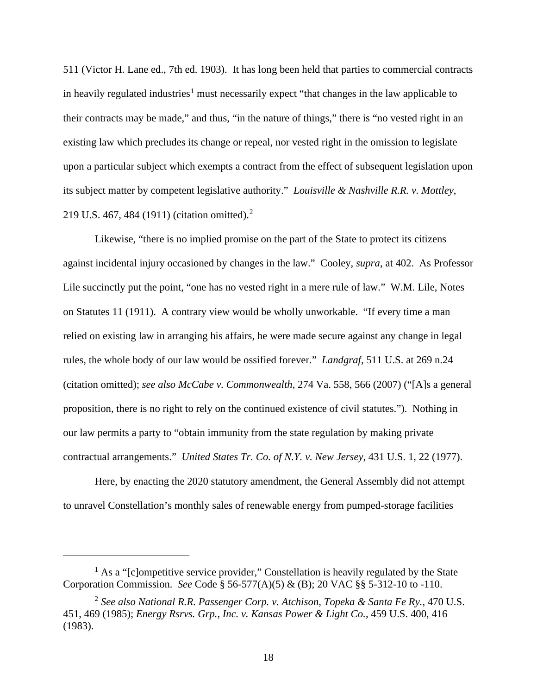511 (Victor H. Lane ed., 7th ed. 1903). It has long been held that parties to commercial contracts in heavily regulated industries<sup>[1](#page-17-0)</sup> must necessarily expect "that changes in the law applicable to their contracts may be made," and thus, "in the nature of things," there is "no vested right in an existing law which precludes its change or repeal, nor vested right in the omission to legislate upon a particular subject which exempts a contract from the effect of subsequent legislation upon its subject matter by competent legislative authority." *Louisville & Nashville R.R. v. Mottley*, 219 U.S. 467, 484 (1911) (citation omitted).[2](#page-17-1)

Likewise, "there is no implied promise on the part of the State to protect its citizens against incidental injury occasioned by changes in the law." Cooley, *supra*, at 402. As Professor Lile succinctly put the point, "one has no vested right in a mere rule of law." W.M. Lile, Notes on Statutes 11 (1911). A contrary view would be wholly unworkable. "If every time a man relied on existing law in arranging his affairs, he were made secure against any change in legal rules, the whole body of our law would be ossified forever." *Landgraf*, 511 U.S. at 269 n.24 (citation omitted); *see also McCabe v. Commonwealth*, 274 Va. 558, 566 (2007) ("[A]s a general proposition, there is no right to rely on the continued existence of civil statutes."). Nothing in our law permits a party to "obtain immunity from the state regulation by making private contractual arrangements." *United States Tr. Co. of N.Y. v. New Jersey*, 431 U.S. 1, 22 (1977).

Here, by enacting the 2020 statutory amendment, the General Assembly did not attempt to unravel Constellation's monthly sales of renewable energy from pumped-storage facilities

<span id="page-17-0"></span> $<sup>1</sup>$  As a "[c]ompetitive service provider," Constellation is heavily regulated by the State</sup> Corporation Commission. *See* Code § 56-577(A)(5) & (B); 20 VAC §§ 5-312-10 to -110.

<span id="page-17-1"></span><sup>2</sup> *See also National R.R. Passenger Corp. v. Atchison, Topeka & Santa Fe Ry.*, 470 U.S. 451, 469 (1985); *Energy Rsrvs. Grp., Inc. v. Kansas Power & Light Co.*, 459 U.S. 400, 416 (1983).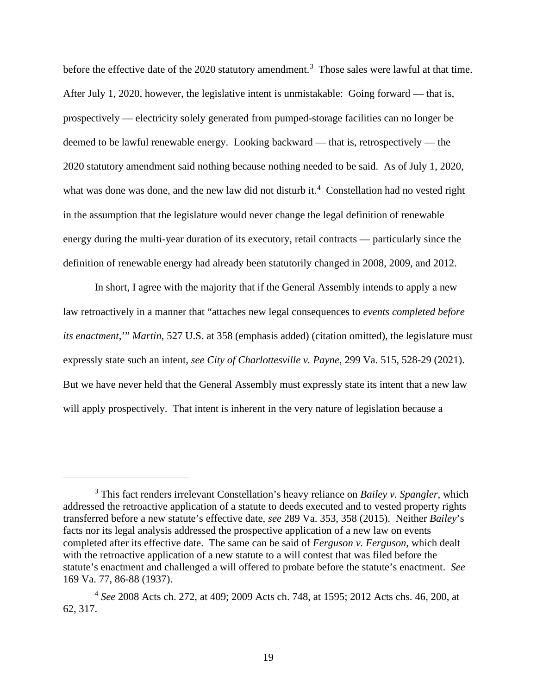before the effective date of the 2020 statutory amendment.<sup>[3](#page-18-0)</sup> Those sales were lawful at that time. After July 1, 2020, however, the legislative intent is unmistakable: Going forward — that is, prospectively — electricity solely generated from pumped-storage facilities can no longer be deemed to be lawful renewable energy. Looking backward — that is, retrospectively — the 2020 statutory amendment said nothing because nothing needed to be said. As of July 1, 2020, what was done was done, and the new law did not disturb it.<sup>[4](#page-18-1)</sup> Constellation had no vested right in the assumption that the legislature would never change the legal definition of renewable energy during the multi-year duration of its executory, retail contracts — particularly since the definition of renewable energy had already been statutorily changed in 2008, 2009, and 2012.

In short, I agree with the majority that if the General Assembly intends to apply a new law retroactively in a manner that "attaches new legal consequences to *events completed before its enactment*,'" *Martin*, 527 U.S. at 358 (emphasis added) (citation omitted), the legislature must expressly state such an intent, *see City of Charlottesville v. Payne*, 299 Va. 515, 528-29 (2021). But we have never held that the General Assembly must expressly state its intent that a new law will apply prospectively. That intent is inherent in the very nature of legislation because a

<span id="page-18-0"></span><sup>3</sup> This fact renders irrelevant Constellation's heavy reliance on *Bailey v. Spangler*, which addressed the retroactive application of a statute to deeds executed and to vested property rights transferred before a new statute's effective date, *see* 289 Va. 353, 358 (2015). Neither *Bailey*'s facts nor its legal analysis addressed the prospective application of a new law on events completed after its effective date. The same can be said of *Ferguson v. Ferguson*, which dealt with the retroactive application of a new statute to a will contest that was filed before the statute's enactment and challenged a will offered to probate before the statute's enactment. *See*  169 Va. 77, 86-88 (1937).

<span id="page-18-1"></span><sup>4</sup> *See* 2008 Acts ch. 272, at 409; 2009 Acts ch. 748, at 1595; 2012 Acts chs. 46, 200, at 62, 317.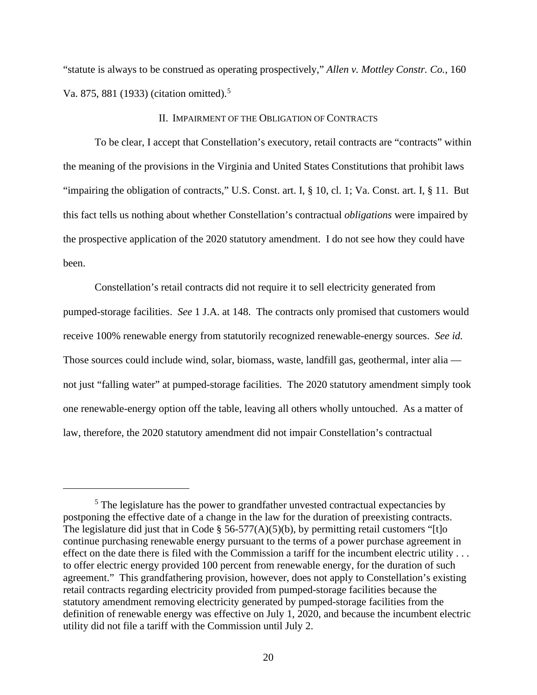"statute is always to be construed as operating prospectively," *Allen v. Mottley Constr. Co.*, 160 Va. 87[5](#page-19-0), 881 (1933) (citation omitted).<sup>5</sup>

### II. IMPAIRMENT OF THE OBLIGATION OF CONTRACTS

To be clear, I accept that Constellation's executory, retail contracts are "contracts" within the meaning of the provisions in the Virginia and United States Constitutions that prohibit laws "impairing the obligation of contracts," U.S. Const. art. I, § 10, cl. 1; Va. Const. art. I, § 11. But this fact tells us nothing about whether Constellation's contractual *obligations* were impaired by the prospective application of the 2020 statutory amendment. I do not see how they could have been.

Constellation's retail contracts did not require it to sell electricity generated from pumped-storage facilities. *See* 1 J.A. at 148. The contracts only promised that customers would receive 100% renewable energy from statutorily recognized renewable-energy sources. *See id.* Those sources could include wind, solar, biomass, waste, landfill gas, geothermal, inter alia not just "falling water" at pumped-storage facilities. The 2020 statutory amendment simply took one renewable-energy option off the table, leaving all others wholly untouched. As a matter of law, therefore, the 2020 statutory amendment did not impair Constellation's contractual

<span id="page-19-0"></span><sup>&</sup>lt;sup>5</sup> The legislature has the power to grandfather unvested contractual expectancies by postponing the effective date of a change in the law for the duration of preexisting contracts. The legislature did just that in Code § 56-577(A)(5)(b), by permitting retail customers "[t]o] continue purchasing renewable energy pursuant to the terms of a power purchase agreement in effect on the date there is filed with the Commission a tariff for the incumbent electric utility . . . to offer electric energy provided 100 percent from renewable energy, for the duration of such agreement." This grandfathering provision, however, does not apply to Constellation's existing retail contracts regarding electricity provided from pumped-storage facilities because the statutory amendment removing electricity generated by pumped-storage facilities from the definition of renewable energy was effective on July 1, 2020, and because the incumbent electric utility did not file a tariff with the Commission until July 2.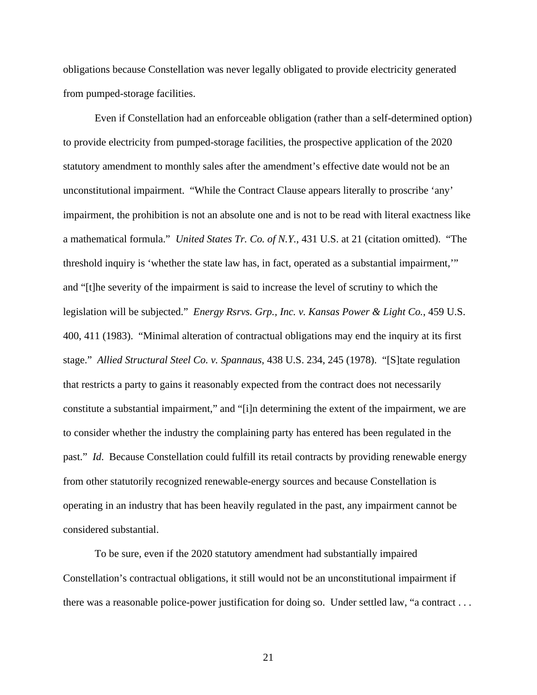obligations because Constellation was never legally obligated to provide electricity generated from pumped-storage facilities.

Even if Constellation had an enforceable obligation (rather than a self-determined option) to provide electricity from pumped-storage facilities, the prospective application of the 2020 statutory amendment to monthly sales after the amendment's effective date would not be an unconstitutional impairment. "While the Contract Clause appears literally to proscribe 'any' impairment, the prohibition is not an absolute one and is not to be read with literal exactness like a mathematical formula." *United States Tr. Co. of N.Y.*, 431 U.S. at 21 (citation omitted). "The threshold inquiry is 'whether the state law has, in fact, operated as a substantial impairment,'" and "[t]he severity of the impairment is said to increase the level of scrutiny to which the legislation will be subjected." *Energy Rsrvs. Grp., Inc. v. Kansas Power & Light Co.*, 459 U.S. 400, 411 (1983). "Minimal alteration of contractual obligations may end the inquiry at its first stage." *Allied Structural Steel Co. v. Spannaus*, 438 U.S. 234, 245 (1978). "[S]tate regulation that restricts a party to gains it reasonably expected from the contract does not necessarily constitute a substantial impairment," and "[i]n determining the extent of the impairment, we are to consider whether the industry the complaining party has entered has been regulated in the past." *Id*. Because Constellation could fulfill its retail contracts by providing renewable energy from other statutorily recognized renewable-energy sources and because Constellation is operating in an industry that has been heavily regulated in the past, any impairment cannot be considered substantial.

To be sure, even if the 2020 statutory amendment had substantially impaired Constellation's contractual obligations, it still would not be an unconstitutional impairment if there was a reasonable police-power justification for doing so. Under settled law, "a contract . . .